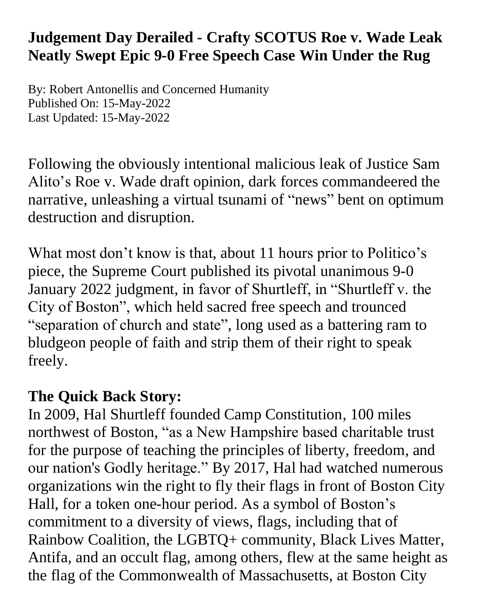## **Judgement Day Derailed - Crafty SCOTUS Roe v. Wade Leak Neatly Swept Epic 9-0 Free Speech Case Win Under the Rug**

By: Robert Antonellis and Concerned Humanity Published On: 15-May-2022 Last Updated: 15-May-2022

Following the obviously intentional malicious leak of Justice Sam Alito's Roe v. Wade draft opinion, dark forces commandeered the narrative, unleashing a virtual tsunami of "news" bent on optimum destruction and disruption.

What most don't know is that, about 11 hours prior to Politico's piece, the Supreme Court published its pivotal unanimous 9-0 January 2022 judgment, in favor of Shurtleff, in "Shurtleff v. the City of Boston", which held sacred free speech and trounced "separation of church and state", long used as a battering ram to bludgeon people of faith and strip them of their right to speak freely.

## **The Quick Back Story:**

In 2009, Hal Shurtleff founded Camp Constitution, 100 miles northwest of Boston, "as a New Hampshire based charitable trust for the purpose of teaching the principles of liberty, freedom, and our nation's Godly heritage." By 2017, Hal had watched numerous organizations win the right to fly their flags in front of Boston City Hall, for a token one-hour period. As a symbol of Boston's commitment to a diversity of views, flags, including that of Rainbow Coalition, the LGBTQ+ community, Black Lives Matter, Antifa, and an occult flag, among others, flew at the same height as the flag of the Commonwealth of Massachusetts, at Boston City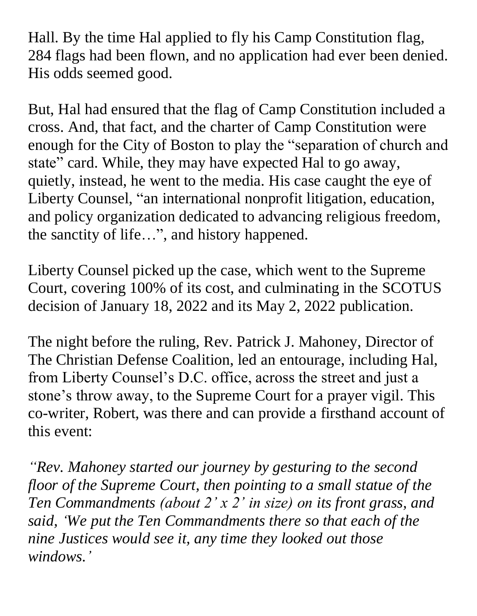Hall. By the time Hal applied to fly his Camp Constitution flag, 284 flags had been flown, and no application had ever been denied. His odds seemed good.

But, Hal had ensured that the flag of Camp Constitution included a cross. And, that fact, and the charter of Camp Constitution were enough for the City of Boston to play the "separation of church and state" card. While, they may have expected Hal to go away, quietly, instead, he went to the media. His case caught the eye of Liberty Counsel, "an international nonprofit litigation, education, and policy organization dedicated to advancing religious freedom, the sanctity of life…", and history happened.

Liberty Counsel picked up the case, which went to the Supreme Court, covering 100% of its cost, and culminating in the SCOTUS decision of January 18, 2022 and its May 2, 2022 publication.

The night before the ruling, Rev. Patrick J. Mahoney, Director of The Christian Defense Coalition, led an entourage, including Hal, from Liberty Counsel's D.C. office, across the street and just a stone's throw away, to the Supreme Court for a prayer vigil. This co-writer, Robert, was there and can provide a firsthand account of this event:

*"Rev. Mahoney started our journey by gesturing to the second floor of the Supreme Court, then pointing to a small statue of the Ten Commandments (about 2' x 2' in size) on its front grass, and said, 'We put the Ten Commandments there so that each of the nine Justices would see it, any time they looked out those windows.'*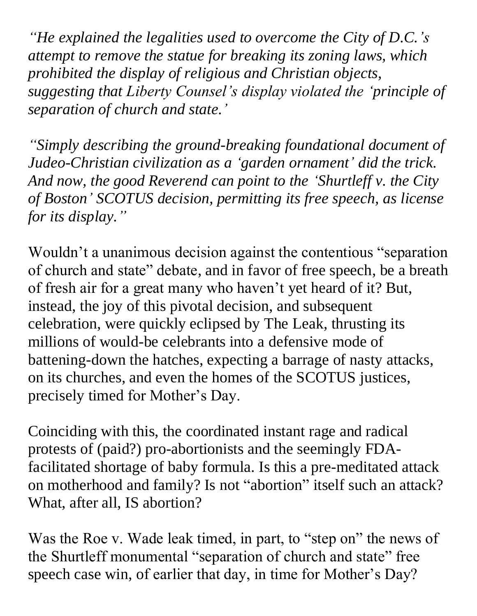*"He explained the legalities used to overcome the City of D.C.'s attempt to remove the statue for breaking its zoning laws, which prohibited the display of religious and Christian objects, suggesting that Liberty Counsel's display violated the 'principle of separation of church and state.'*

*"Simply describing the ground-breaking foundational document of Judeo-Christian civilization as a 'garden ornament' did the trick. And now, the good Reverend can point to the 'Shurtleff v. the City of Boston' SCOTUS decision, permitting its free speech, as license for its display."*

Wouldn't a unanimous decision against the contentious "separation of church and state" debate, and in favor of free speech, be a breath of fresh air for a great many who haven't yet heard of it? But, instead, the joy of this pivotal decision, and subsequent celebration, were quickly eclipsed by The Leak, thrusting its millions of would-be celebrants into a defensive mode of battening-down the hatches, expecting a barrage of nasty attacks, on its churches, and even the homes of the SCOTUS justices, precisely timed for Mother's Day.

Coinciding with this, the coordinated instant rage and radical protests of (paid?) pro-abortionists and the seemingly FDAfacilitated shortage of baby formula. Is this a pre-meditated attack on motherhood and family? Is not "abortion" itself such an attack? What, after all, IS abortion?

Was the Roe v. Wade leak timed, in part, to "step on" the news of the Shurtleff monumental "separation of church and state" free speech case win, of earlier that day, in time for Mother's Day?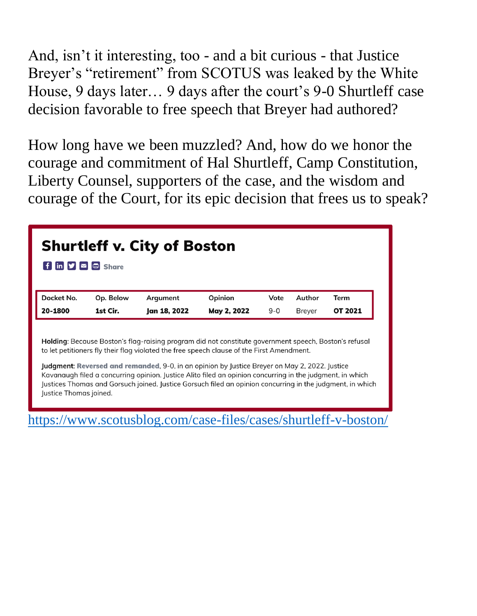And, isn't it interesting, too - and a bit curious - that Justice Breyer's "retirement" from SCOTUS was leaked by the White House, 9 days later… 9 days after the court's 9-0 Shurtleff case decision favorable to free speech that Breyer had authored?

How long have we been muzzled? And, how do we honor the courage and commitment of Hal Shurtleff, Camp Constitution, Liberty Counsel, supporters of the case, and the wisdom and courage of the Court, for its epic decision that frees us to speak?

| <b>Shurtleff v. City of Boston</b><br>$\mathbf{f}$ in $\mathbf{y} \boldsymbol{\triangleright} \mathbf{c}$ share |           |              |                                                                                                                                                                                                                                                                                                                                                                                                                                                                                                                               |         |               |                |
|-----------------------------------------------------------------------------------------------------------------|-----------|--------------|-------------------------------------------------------------------------------------------------------------------------------------------------------------------------------------------------------------------------------------------------------------------------------------------------------------------------------------------------------------------------------------------------------------------------------------------------------------------------------------------------------------------------------|---------|---------------|----------------|
| Docket No.                                                                                                      | Op. Below | Argument     | Opinion                                                                                                                                                                                                                                                                                                                                                                                                                                                                                                                       | Vote    | Author        | Term           |
| 20-1800                                                                                                         | 1st Cir.  | Jan 18, 2022 | May 2, 2022                                                                                                                                                                                                                                                                                                                                                                                                                                                                                                                   | $9 - 0$ | <b>Breyer</b> | <b>OT 2021</b> |
| Justice Thomas joined.                                                                                          |           |              | Holding: Because Boston's flag-raising program did not constitute government speech, Boston's refusal<br>to let petitioners fly their flag violated the free speech clause of the First Amendment.<br>Judgment: Reversed and remanded, 9-0, in an opinion by Justice Breyer on May 2, 2022. Justice<br>Kavanaugh filed a concurring opinion. Justice Alito filed an opinion concurring in the judgment, in which<br>Justices Thomas and Gorsuch joined. Justice Gorsuch filed an opinion concurring in the judgment, in which |         |               |                |

<https://www.scotusblog.com/case-files/cases/shurtleff-v-boston/>